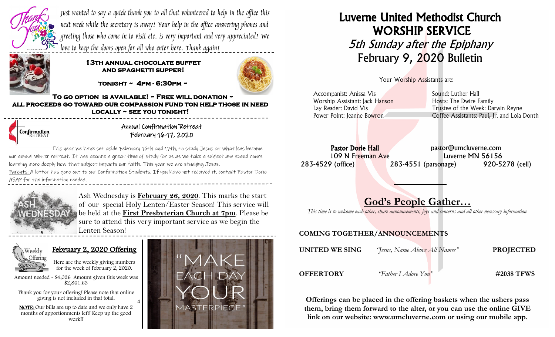

Just wanted to say a quick thank you to all that volunteered to help in the office this next week while the secretary is away! Your help in the office answering phones and greeting those who come in to visit etc. is very important and very appreciated! We love to keep the doors open for all who enter here. Thank again!



#### **13th annual chocolate buffet and spaghetti supper!**

**tonight ~ 4pm - 6:30pm ~** 

**To go option is available! ~ Free will donation ~ all proceeds go toward our compassion fund ton help those in need locally ~ see you tonight!** 



Annual Confirmation Retreat February 16-17, 2020

This year we have set aside February 16th and 17th, to study Jesus at what has become our annual winter retreat. It has become a great time of study for us as we take a subject and spend hours learning more deeply how that subject impacts our faith. This year we are studying Jesus. Parents: A letter has gone out to our Confirmation Students. If you have not received it, contact Pastor Dorie ASAP for the information needed.

4



Ash Wednesday is **February 26, 2020**. This marks the start of our special Holy Lenten/Easter Season! This service will be held at the **First Presbyterian Church at 7pm**. Please be sure to attend this very important service as we begin the Lenten Season!



#### February 2, 2020 Offering



Amount needed - \$4,026 Amount given this week was \$2,861.63

 Thank you for your offering! Please note that online giving is not included in that total.

 NOTE: Our bills are up to date and we only have 2 months of apportionments left! Keep up the good work!!



# Luverne United Methodist Church WORSHIP SERVICE 5th Sunday after the Epiphany February 9, 2020 Bulletin

Your Worship Assistants are:

| Accompanist: Anissa Vis        | Sound: Luther Hall                          |
|--------------------------------|---------------------------------------------|
| Worship Assistant: Jack Hanson | Hosts: The Dwire Family                     |
| Lay Reader: David Vis          | Trustee of the Week: Darwin Reyne           |
| Power Point: Jeanne Bowron     | Coffee Assistants: Paul, Jr. and Lola Donth |
|                                |                                             |

Pastor Dorie Hall expression bastor@umcluverne.com 109 N Freeman Ave Luverne MN 56156 283-4529 (office) 283-4551 (parsonage) 920-5278 (cell)

## God's People Gather…

*This time is to welcome each other, share announcements, joys and concerns and all other necessary information.*

#### COMING TOGETHER/ANNOUNCEMENTS

| UNITED WE SING   | <i>'Jesus</i> , Name Above All Names" | <b>PROJECTED</b> |
|------------------|---------------------------------------|------------------|
| <b>OFFERTORY</b> | "Father I Adore You"                  | #2038 TFWS       |

Offerings can be placed in the offering baskets when the ushers pass them, bring them forward to the alter, or you can use the online GIVE link on our website: www.umcluverne.com or using our mobile app.